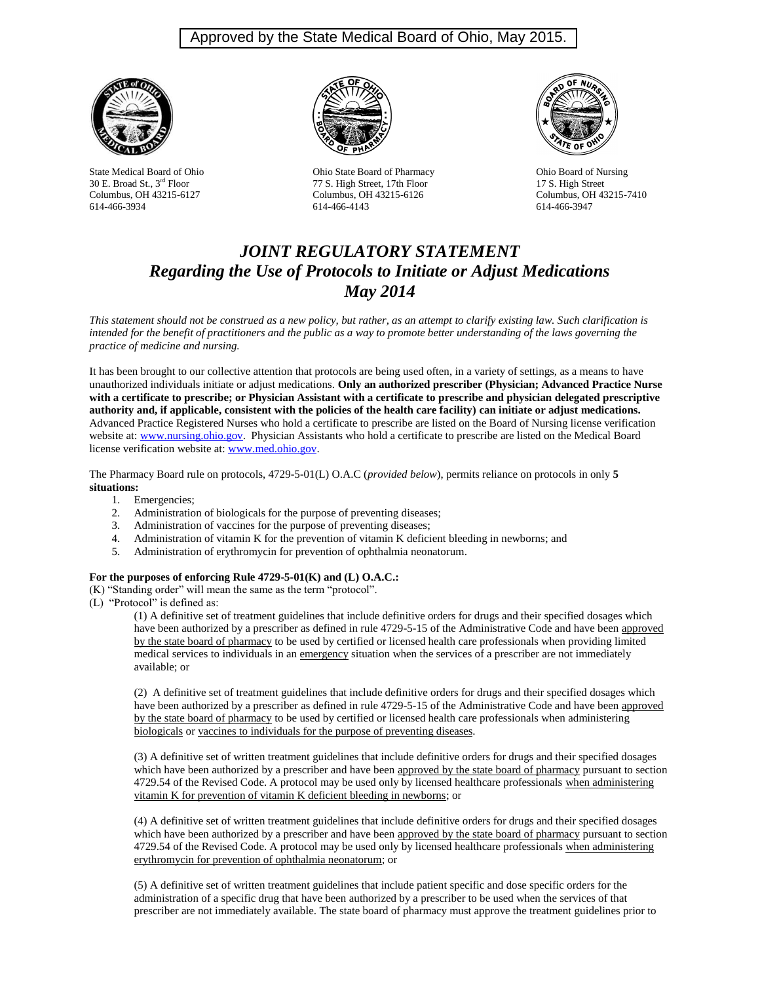# Approved by the State Medical Board of Ohio, May 2015.





State Medical Board of Ohio Ohio State Board of Pharmacy Ohio Board of Nursing 30 E. Broad St., 3<sup>rd</sup> Floor 77 S. High Street, 17th Floor 17 S. High Street Columbus, OH 43215-6127 Columbus, OH 43215-6126 Columbus, OH 43215-7410<br>
614-466-4143 614-466-3934 614-466-3947 614-466-4143



# *JOINT REGULATORY STATEMENT Regarding the Use of Protocols to Initiate or Adjust Medications May 2014*

*This statement should not be construed as a new policy, but rather, as an attempt to clarify existing law. Such clarification is*  intended for the benefit of practitioners and the public as a way to promote better understanding of the laws governing the *practice of medicine and nursing.* 

It has been brought to our collective attention that protocols are being used often, in a variety of settings, as a means to have unauthorized individuals initiate or adjust medications. **Only an authorized prescriber (Physician; Advanced Practice Nurse with a certificate to prescribe; or Physician Assistant with a certificate to prescribe and physician delegated prescriptive authority and, if applicable, consistent with the policies of the health care facility) can initiate or adjust medications.** Advanced Practice Registered Nurses who hold a certificate to prescribe are listed on the Board of Nursing license verification website at: [www.nursing.ohio.gov.](http://www.nursing.ohio.gov/) Physician Assistants who hold a certificate to prescribe are listed on the Medical Board license verification website at: [www.med.ohio.gov.](http://www.med.ohio.gov/)

The Pharmacy Board rule on protocols, 4729-5-01(L) O.A.C (*provided below*), permits reliance on protocols in only **5 situations:**

- 1. Emergencies;
- 2. Administration of biologicals for the purpose of preventing diseases;
- 3. Administration of vaccines for the purpose of preventing diseases;
- 4. Administration of vitamin K for the prevention of vitamin K deficient bleeding in newborns; and
- 5. Administration of erythromycin for prevention of ophthalmia neonatorum.

#### **For the purposes of enforcing Rule 4729-5-01(K) and (L) O.A.C.:**

(K) "Standing order" will mean the same as the term "protocol".

(L) "Protocol" is defined as:

(1) A definitive set of treatment guidelines that include definitive orders for drugs and their specified dosages which have been authorized by a prescriber as defined in rule 4729-5-15 of the Administrative Code and have been approved by the state board of pharmacy to be used by certified or licensed health care professionals when providing limited medical services to individuals in an emergency situation when the services of a prescriber are not immediately available; or

(2) A definitive set of treatment guidelines that include definitive orders for drugs and their specified dosages which have been authorized by a prescriber as defined in rule 4729-5-15 of the Administrative Code and have been approved by the state board of pharmacy to be used by certified or licensed health care professionals when administering biologicals or vaccines to individuals for the purpose of preventing diseases.

(3) A definitive set of written treatment guidelines that include definitive orders for drugs and their specified dosages which have been authorized by a prescriber and have been approved by the state board of pharmacy pursuant to section 4729.54 of the Revised Code. A protocol may be used only by licensed healthcare professionals when administering vitamin K for prevention of vitamin K deficient bleeding in newborns; or

(4) A definitive set of written treatment guidelines that include definitive orders for drugs and their specified dosages which have been authorized by a prescriber and have been approved by the state board of pharmacy pursuant to section 4729.54 of the Revised Code. A protocol may be used only by licensed healthcare professionals when administering erythromycin for prevention of ophthalmia neonatorum; or

(5) A definitive set of written treatment guidelines that include patient specific and dose specific orders for the administration of a specific drug that have been authorized by a prescriber to be used when the services of that prescriber are not immediately available. The state board of pharmacy must approve the treatment guidelines prior to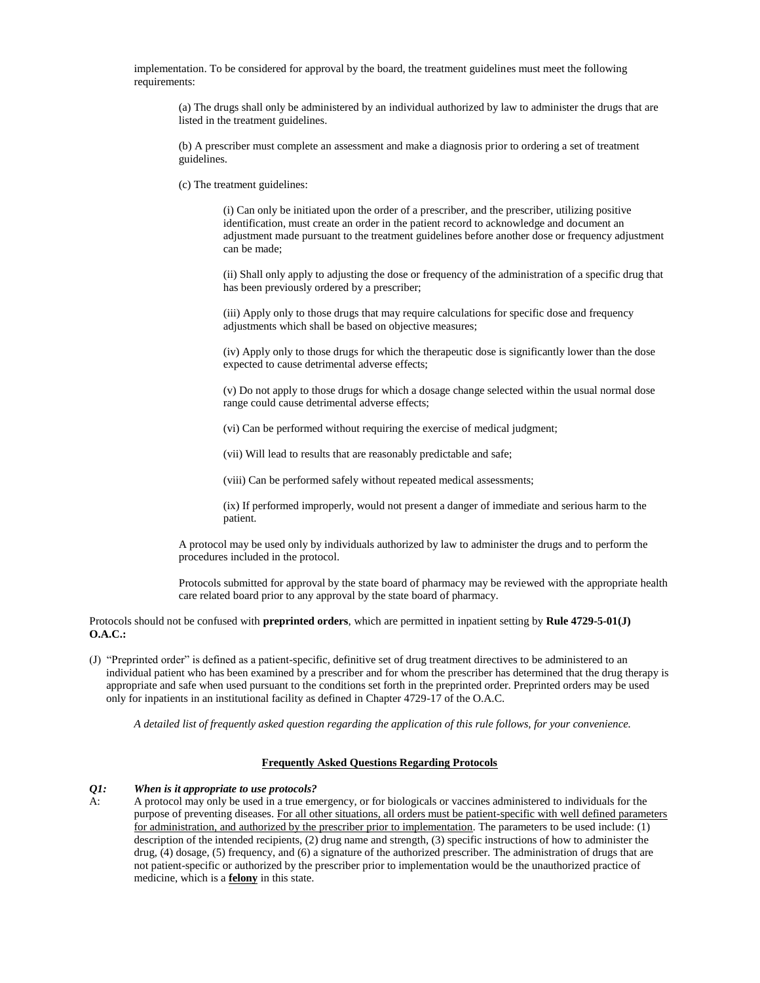implementation. To be considered for approval by the board, the treatment guidelines must meet the following requirements:

(a) The drugs shall only be administered by an individual authorized by law to administer the drugs that are listed in the treatment guidelines.

(b) A prescriber must complete an assessment and make a diagnosis prior to ordering a set of treatment guidelines.

(c) The treatment guidelines:

(i) Can only be initiated upon the order of a prescriber, and the prescriber, utilizing positive identification, must create an order in the patient record to acknowledge and document an adjustment made pursuant to the treatment guidelines before another dose or frequency adjustment can be made;

(ii) Shall only apply to adjusting the dose or frequency of the administration of a specific drug that has been previously ordered by a prescriber;

(iii) Apply only to those drugs that may require calculations for specific dose and frequency adjustments which shall be based on objective measures;

(iv) Apply only to those drugs for which the therapeutic dose is significantly lower than the dose expected to cause detrimental adverse effects;

(v) Do not apply to those drugs for which a dosage change selected within the usual normal dose range could cause detrimental adverse effects;

(vi) Can be performed without requiring the exercise of medical judgment;

(vii) Will lead to results that are reasonably predictable and safe;

(viii) Can be performed safely without repeated medical assessments;

(ix) If performed improperly, would not present a danger of immediate and serious harm to the patient.

A protocol may be used only by individuals authorized by law to administer the drugs and to perform the procedures included in the protocol.

Protocols submitted for approval by the state board of pharmacy may be reviewed with the appropriate health care related board prior to any approval by the state board of pharmacy.

Protocols should not be confused with **preprinted orders**, which are permitted in inpatient setting by **Rule 4729-5-01(J) O.A.C.:**

(J) "Preprinted order" is defined as a patient-specific, definitive set of drug treatment directives to be administered to an individual patient who has been examined by a prescriber and for whom the prescriber has determined that the drug therapy is appropriate and safe when used pursuant to the conditions set forth in the preprinted order. Preprinted orders may be used only for inpatients in an institutional facility as defined in Chapter 4729-17 of the O.A.C.

*A detailed list of frequently asked question regarding the application of this rule follows, for your convenience.* 

#### **Frequently Asked Questions Regarding Protocols**

#### *Q1: When is it appropriate to use protocols?*

A: A protocol may only be used in a true emergency, or for biologicals or vaccines administered to individuals for the purpose of preventing diseases. For all other situations, all orders must be patient-specific with well defined parameters for administration, and authorized by the prescriber prior to implementation. The parameters to be used include: (1) description of the intended recipients, (2) drug name and strength, (3) specific instructions of how to administer the drug, (4) dosage, (5) frequency, and (6) a signature of the authorized prescriber. The administration of drugs that are not patient-specific or authorized by the prescriber prior to implementation would be the unauthorized practice of medicine, which is a **felony** in this state.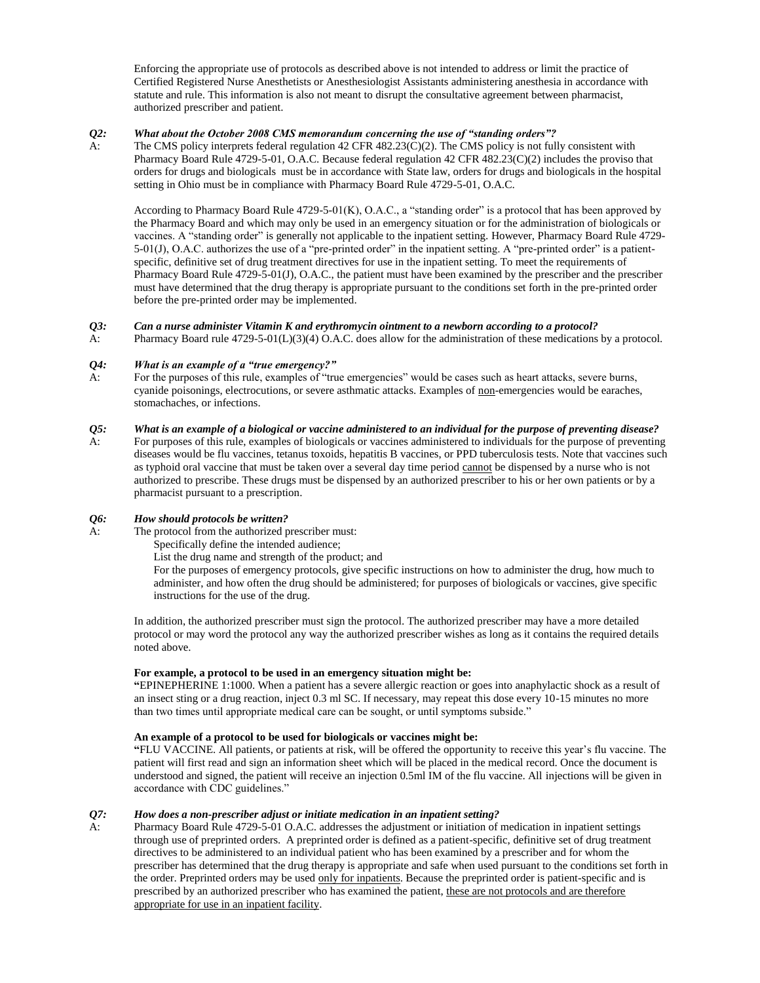Enforcing the appropriate use of protocols as described above is not intended to address or limit the practice of Certified Registered Nurse Anesthetists or Anesthesiologist Assistants administering anesthesia in accordance with statute and rule. This information is also not meant to disrupt the consultative agreement between pharmacist, authorized prescriber and patient.

# *Q2: What about the October 2008 CMS memorandum concerning the use of "standing orders"?*

A: The CMS policy interprets federal regulation 42 CFR 482.23(C)(2). The CMS policy is not fully consistent with Pharmacy Board Rule 4729-5-01, O.A.C. Because federal regulation 42 CFR 482.23(C)(2) includes the proviso that orders for drugs and biologicals must be in accordance with State law, orders for drugs and biologicals in the hospital setting in Ohio must be in compliance with Pharmacy Board Rule 4729-5-01, O.A.C.

According to Pharmacy Board Rule 4729-5-01(K), O.A.C., a "standing order" is a protocol that has been approved by the Pharmacy Board and which may only be used in an emergency situation or for the administration of biologicals or vaccines. A "standing order" is generally not applicable to the inpatient setting. However, Pharmacy Board Rule 4729- 5-01(J), O.A.C. authorizes the use of a "pre-printed order" in the inpatient setting. A "pre-printed order" is a patientspecific, definitive set of drug treatment directives for use in the inpatient setting. To meet the requirements of Pharmacy Board Rule 4729-5-01(J), O.A.C., the patient must have been examined by the prescriber and the prescriber must have determined that the drug therapy is appropriate pursuant to the conditions set forth in the pre-printed order before the pre-printed order may be implemented.

# *Q3: Can a nurse administer Vitamin K and erythromycin ointment to a newborn according to a protocol?*

A: Pharmacy Board rule 4729-5-01(L)(3)(4) O.A.C. does allow for the administration of these medications by a protocol.

# *Q4: What is an example of a "true emergency?"*

For the purposes of this rule, examples of "true emergencies" would be cases such as heart attacks, severe burns, cyanide poisonings, electrocutions, or severe asthmatic attacks. Examples of non-emergencies would be earaches, stomachaches, or infections.

# *Q5: What is an example of a biological or vaccine administered to an individual for the purpose of preventing disease?*

A: For purposes of this rule, examples of biologicals or vaccines administered to individuals for the purpose of preventing diseases would be flu vaccines, tetanus toxoids, hepatitis B vaccines, or PPD tuberculosis tests. Note that vaccines such as typhoid oral vaccine that must be taken over a several day time period cannot be dispensed by a nurse who is not authorized to prescribe. These drugs must be dispensed by an authorized prescriber to his or her own patients or by a pharmacist pursuant to a prescription.

# *Q6: How should protocols be written?*

- A: The protocol from the authorized prescriber must:
	- Specifically define the intended audience;
	- List the drug name and strength of the product; and

 For the purposes of emergency protocols, give specific instructions on how to administer the drug, how much to administer, and how often the drug should be administered; for purposes of biologicals or vaccines, give specific instructions for the use of the drug.

In addition, the authorized prescriber must sign the protocol. The authorized prescriber may have a more detailed protocol or may word the protocol any way the authorized prescriber wishes as long as it contains the required details noted above.

# **For example, a protocol to be used in an emergency situation might be:**

**"**EPINEPHERINE 1:1000. When a patient has a severe allergic reaction or goes into anaphylactic shock as a result of an insect sting or a drug reaction, inject 0.3 ml SC. If necessary, may repeat this dose every 10-15 minutes no more than two times until appropriate medical care can be sought, or until symptoms subside."

### **An example of a protocol to be used for biologicals or vaccines might be:**

**"**FLU VACCINE. All patients, or patients at risk, will be offered the opportunity to receive this year's flu vaccine. The patient will first read and sign an information sheet which will be placed in the medical record. Once the document is understood and signed, the patient will receive an injection 0.5ml IM of the flu vaccine. All injections will be given in accordance with CDC guidelines."

# *Q7: How does a non-prescriber adjust or initiate medication in an inpatient setting?*

A: Pharmacy Board Rule 4729-5-01 O.A.C. addresses the adjustment or initiation of medication in inpatient settings through use of preprinted orders. A preprinted order is defined as a patient-specific, definitive set of drug treatment directives to be administered to an individual patient who has been examined by a prescriber and for whom the prescriber has determined that the drug therapy is appropriate and safe when used pursuant to the conditions set forth in the order. Preprinted orders may be used only for inpatients. Because the preprinted order is patient-specific and is prescribed by an authorized prescriber who has examined the patient, these are not protocols and are therefore appropriate for use in an inpatient facility.